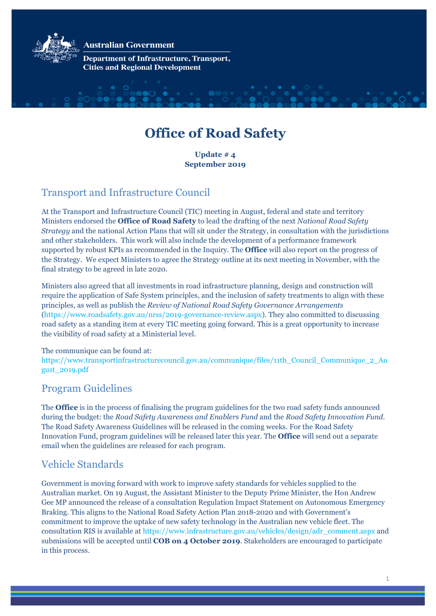

**Australian Government** 

**Department of Infrastructure, Transport, Cities and Regional Development** 

# **Office of Road Safety**

**Update # 4 September 2019** 

# Transport and Infrastructure Council

At the Transport and Infrastructure Council (TIC) meeting in August, federal and state and territory Ministers endorsed the **Office of Road Safety** to lead the drafting of the next *National Road Safety Strategy* and the national Action Plans that will sit under the Strategy, in consultation with the jurisdictions and other stakeholders. This work will also include the development of a performance framework supported by robust KPIs as recommended in the Inquiry. The **Office** will also report on the progress of the Strategy. We expect Ministers to agree the Strategy outline at its next meeting in November, with the final strategy to be agreed in late 2020.

Ministers also agreed that all investments in road infrastructure planning, design and construction will require the application of Safe System principles, and the inclusion of safety treatments to align with these principles, as well as publish the *Review of National Road Safety Governance Arrangements* [\(https://www.roadsafety.gov.au/nrss/2019-governance-review.aspx\)](https://www.roadsafety.gov.au/nrss/2019-governance-review.aspx). They also committed to discussing road safety as a standing item at every TIC meeting going forward. This is a great opportunity to increase the visibility of road safety at a Ministerial level.

#### The communique can be found at:

[https://www.transportinfrastructurecouncil.gov.au/communique/files/11th\\_Council\\_Communique\\_2\\_Au](https://www.transportinfrastructurecouncil.gov.au/communique/files/11th_Council_Communique_2_August_2019.pdf) [gust\\_2019.pdf](https://www.transportinfrastructurecouncil.gov.au/communique/files/11th_Council_Communique_2_August_2019.pdf) 

#### Program Guidelines

The **Office** is in the process of finalising the program guidelines for the two road safety funds announced during the budget: the *Road Safety Awareness and Enablers Fund* and the *Road Safety Innovation Fund*. The Road Safety Awareness Guidelines will be released in the coming weeks. For the Road Safety Innovation Fund, program guidelines will be released later this year. The **Office** will send out a separate email when the guidelines are released for each program.

## Vehicle Standards

Government is moving forward with work to improve safety standards for vehicles supplied to the Australian market. On 19 August, the Assistant Minister to the Deputy Prime Minister, the Hon Andrew Gee MP announced the release of a consultation Regulation Impact Statement on Autonomous Emergency Braking. This aligns to the National Road Safety Action Plan 2018-2020 and with Government's commitment to improve the uptake of new safety technology in the Australian new vehicle fleet. The consultation RIS is available at [https://www.infrastructure.gov.au/vehicles/design/adr\\_comment.aspx](https://www.infrastructure.gov.au/vehicles/design/adr_comment.aspx) and submissions will be accepted until **COB on 4 October 2019**. Stakeholders are encouraged to participate in this process.

1